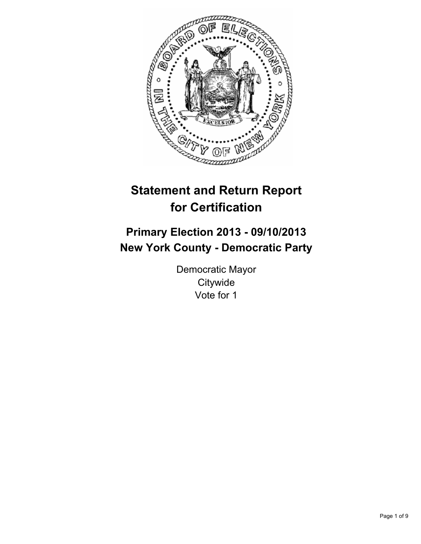

# **Statement and Return Report for Certification**

# **Primary Election 2013 - 09/10/2013 New York County - Democratic Party**

Democratic Mayor **Citywide** Vote for 1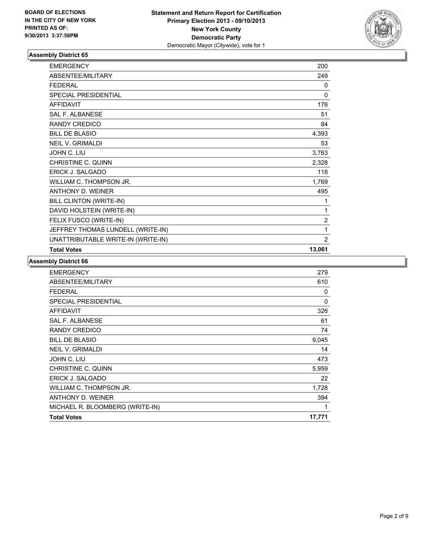

| <b>EMERGENCY</b>                   | 200            |
|------------------------------------|----------------|
| <b>ABSENTEE/MILITARY</b>           | 249            |
| <b>FFDFRAL</b>                     | 0              |
| SPECIAL PRESIDENTIAL               | 0              |
| <b>AFFIDAVIT</b>                   | 176            |
| SAI F. AI BANESE                   | 51             |
| <b>RANDY CREDICO</b>               | 84             |
| <b>BILL DE BLASIO</b>              | 4,393          |
| <b>NEIL V. GRIMALDI</b>            | 53             |
| JOHN C. LIU                        | 3,763          |
| <b>CHRISTINE C. QUINN</b>          | 2,328          |
| <b>ERICK J. SALGADO</b>            | 118            |
| WILLIAM C. THOMPSON JR.            | 1,769          |
| <b>ANTHONY D. WEINER</b>           | 495            |
| BILL CLINTON (WRITE-IN)            | 1              |
| DAVID HOLSTEIN (WRITE-IN)          | 1              |
| FELIX FUSCO (WRITE-IN)             | $\overline{2}$ |
| JEFFREY THOMAS LUNDELL (WRITE-IN)  | 1              |
| UNATTRIBUTABLE WRITE-IN (WRITE-IN) | $\overline{2}$ |
| <b>Total Votes</b>                 | 13,061         |

| 279    |
|--------|
| 610    |
| 0      |
| 0      |
| 326    |
| 61     |
| 74     |
| 9,045  |
| 14     |
| 473    |
| 5,959  |
| 22     |
| 1,728  |
| 394    |
| 1      |
| 17,771 |
|        |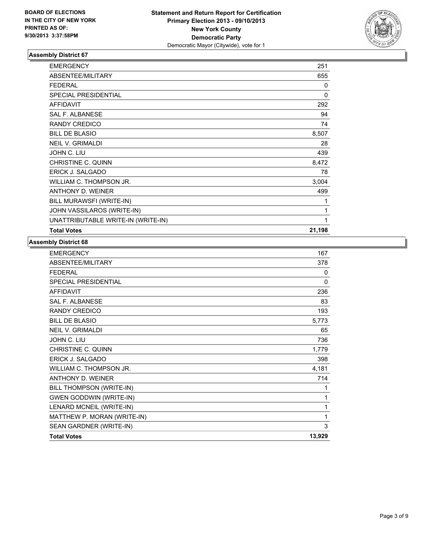

| <b>EMERGENCY</b>                   | 251          |
|------------------------------------|--------------|
| ABSENTEE/MILITARY                  | 655          |
| <b>FEDERAL</b>                     | $\mathbf{0}$ |
| SPECIAL PRESIDENTIAL               | $\mathbf{0}$ |
| <b>AFFIDAVIT</b>                   | 292          |
| <b>SAL F. ALBANESE</b>             | 94           |
| <b>RANDY CREDICO</b>               | 74           |
| <b>BILL DE BLASIO</b>              | 8,507        |
| <b>NEIL V. GRIMALDI</b>            | 28           |
| JOHN C. LIU                        | 439          |
| CHRISTINE C. QUINN                 | 8,472        |
| <b>ERICK J. SALGADO</b>            | 78           |
| WILLIAM C. THOMPSON JR.            | 3,004        |
| ANTHONY D. WEINER                  | 499          |
| BILL MURAWSFI (WRITE-IN)           | 1            |
| JOHN VASSILAROS (WRITE-IN)         | 1            |
| UNATTRIBUTABLE WRITE-IN (WRITE-IN) | 1            |
| <b>Total Votes</b>                 | 21,198       |

| <b>EMERGENCY</b>               | 167    |
|--------------------------------|--------|
| ABSENTEE/MILITARY              | 378    |
| <b>FEDERAL</b>                 | 0      |
| <b>SPECIAL PRESIDENTIAL</b>    | 0      |
| <b>AFFIDAVIT</b>               | 236    |
| SAI F. AI BANESE               | 83     |
| <b>RANDY CREDICO</b>           | 193    |
| <b>BILL DE BLASIO</b>          | 5,773  |
| <b>NEIL V. GRIMALDI</b>        | 65     |
| JOHN C. LIU                    | 736    |
| CHRISTINE C. QUINN             | 1,779  |
| <b>ERICK J. SALGADO</b>        | 398    |
| WILLIAM C. THOMPSON JR.        | 4,181  |
| ANTHONY D. WEINER              | 714    |
| BILL THOMPSON (WRITE-IN)       | 1      |
| <b>GWEN GODDWIN (WRITE-IN)</b> | 1      |
| LENARD MCNEIL (WRITE-IN)       | 1      |
| MATTHEW P. MORAN (WRITE-IN)    | 1      |
| SEAN GARDNER (WRITE-IN)        | 3      |
| <b>Total Votes</b>             | 13,929 |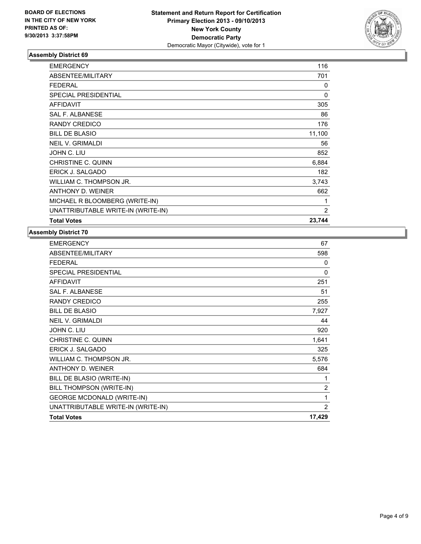

| <b>EMERGENCY</b>                   | 116            |
|------------------------------------|----------------|
| ABSENTEE/MILITARY                  | 701            |
| <b>FEDERAL</b>                     | 0              |
| <b>SPECIAL PRESIDENTIAL</b>        | $\Omega$       |
| <b>AFFIDAVIT</b>                   | 305            |
| <b>SAL F. ALBANESE</b>             | 86             |
| <b>RANDY CREDICO</b>               | 176            |
| <b>BILL DE BLASIO</b>              | 11,100         |
| <b>NEIL V. GRIMALDI</b>            | 56             |
| JOHN C. LIU                        | 852            |
| <b>CHRISTINE C. QUINN</b>          | 6,884          |
| ERICK J. SALGADO                   | 182            |
| WILLIAM C. THOMPSON JR.            | 3,743          |
| ANTHONY D. WEINER                  | 662            |
| MICHAEL R BLOOMBERG (WRITE-IN)     | 1              |
| UNATTRIBUTABLE WRITE-IN (WRITE-IN) | $\overline{2}$ |
| <b>Total Votes</b>                 | 23,744         |

| <b>EMERGENCY</b>                   | 67             |
|------------------------------------|----------------|
| ABSENTEE/MILITARY                  | 598            |
| <b>FEDERAL</b>                     | 0              |
| <b>SPECIAL PRESIDENTIAL</b>        | $\mathbf{0}$   |
| <b>AFFIDAVIT</b>                   | 251            |
| <b>SAL F. ALBANESE</b>             | 51             |
| RANDY CREDICO                      | 255            |
| <b>BILL DE BLASIO</b>              | 7,927          |
| <b>NEIL V. GRIMALDI</b>            | 44             |
| JOHN C. LIU                        | 920            |
| CHRISTINE C. QUINN                 | 1,641          |
| ERICK J. SALGADO                   | 325            |
| WILLIAM C. THOMPSON JR.            | 5,576          |
| ANTHONY D. WEINER                  | 684            |
| BILL DE BLASIO (WRITE-IN)          | 1              |
| BILL THOMPSON (WRITE-IN)           | $\overline{2}$ |
| <b>GEORGE MCDONALD (WRITE-IN)</b>  | 1              |
| UNATTRIBUTABLE WRITE-IN (WRITE-IN) | 2              |
| <b>Total Votes</b>                 | 17,429         |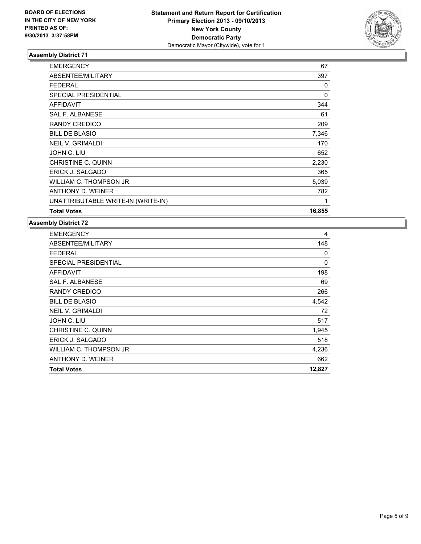

| <b>EMERGENCY</b>                   | 67     |
|------------------------------------|--------|
| ABSENTEE/MILITARY                  | 397    |
| <b>FEDERAL</b>                     | 0      |
| SPECIAL PRESIDENTIAL               | 0      |
| <b>AFFIDAVIT</b>                   | 344    |
| <b>SAL F. ALBANESE</b>             | 61     |
| RANDY CREDICO                      | 209    |
| <b>BILL DE BLASIO</b>              | 7,346  |
| <b>NEIL V. GRIMALDI</b>            | 170    |
| JOHN C. LIU                        | 652    |
| CHRISTINE C. QUINN                 | 2,230  |
| ERICK J. SALGADO                   | 365    |
| WILLIAM C. THOMPSON JR.            | 5,039  |
| ANTHONY D. WEINER                  | 782    |
| UNATTRIBUTABLE WRITE-IN (WRITE-IN) | 1      |
| <b>Total Votes</b>                 | 16,855 |

| <b>EMERGENCY</b>            | 4        |
|-----------------------------|----------|
| <b>ABSENTEE/MILITARY</b>    | 148      |
| <b>FEDERAL</b>              | 0        |
| <b>SPECIAL PRESIDENTIAL</b> | $\Omega$ |
| <b>AFFIDAVIT</b>            | 198      |
| <b>SAL F. ALBANESE</b>      | 69       |
| RANDY CREDICO               | 266      |
| <b>BILL DE BLASIO</b>       | 4,542    |
| <b>NEIL V. GRIMALDI</b>     | 72       |
| JOHN C. LIU                 | 517      |
| CHRISTINE C. QUINN          | 1,945    |
| ERICK J. SALGADO            | 518      |
| WILLIAM C. THOMPSON JR.     | 4,236    |
| ANTHONY D. WEINER           | 662      |
| <b>Total Votes</b>          | 12,827   |
|                             |          |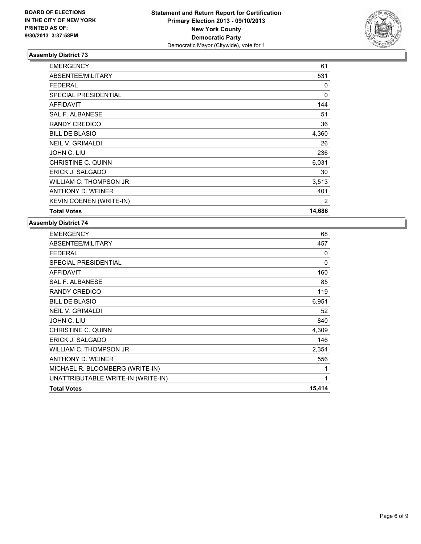

| <b>Total Votes</b>          | 14,686 |
|-----------------------------|--------|
| KEVIN COENEN (WRITE-IN)     | 2      |
| ANTHONY D. WEINER           | 401    |
| WILLIAM C. THOMPSON JR.     | 3,513  |
| ERICK J. SALGADO            | 30     |
| CHRISTINE C. QUINN          | 6,031  |
| JOHN C. LIU                 | 236    |
| <b>NEIL V. GRIMALDI</b>     | 26     |
| <b>BILL DE BLASIO</b>       | 4,360  |
| RANDY CREDICO               | 36     |
| SAL F. ALBANESE             | 51     |
| <b>AFFIDAVIT</b>            | 144    |
| <b>SPECIAL PRESIDENTIAL</b> | 0      |
| <b>FEDERAL</b>              | 0      |
| ABSENTEE/MILITARY           | 531    |
| <b>EMERGENCY</b>            | 61     |

| <b>EMERGENCY</b>                   | 68     |
|------------------------------------|--------|
| ABSENTEE/MILITARY                  | 457    |
| <b>FEDERAL</b>                     | 0      |
| <b>SPECIAL PRESIDENTIAL</b>        | 0      |
| <b>AFFIDAVIT</b>                   | 160    |
| <b>SAL F. ALBANESE</b>             | 85     |
| RANDY CREDICO                      | 119    |
| <b>BILL DE BLASIO</b>              | 6,951  |
| <b>NEIL V. GRIMALDI</b>            | 52     |
| JOHN C. LIU                        | 840    |
| CHRISTINE C. QUINN                 | 4,309  |
| <b>ERICK J. SALGADO</b>            | 146    |
| WILLIAM C. THOMPSON JR.            | 2,354  |
| ANTHONY D. WEINER                  | 556    |
| MICHAEL R. BLOOMBERG (WRITE-IN)    | 1      |
| UNATTRIBUTABLE WRITE-IN (WRITE-IN) | 1      |
| <b>Total Votes</b>                 | 15,414 |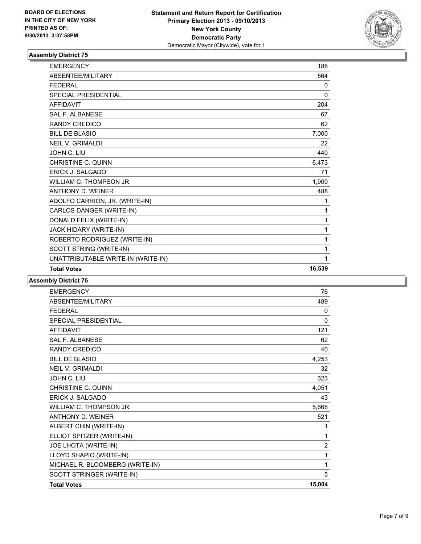

| <b>EMERGENCY</b>                   | 188          |
|------------------------------------|--------------|
| ABSENTEE/MILITARY                  | 564          |
| <b>FEDERAL</b>                     | 0            |
| <b>SPECIAL PRESIDENTIAL</b>        | $\mathbf{0}$ |
| <b>AFFIDAVIT</b>                   | 204          |
| <b>SAL F. ALBANESE</b>             | 67           |
| <b>RANDY CREDICO</b>               | 62           |
| <b>BILL DE BLASIO</b>              | 7,000        |
| <b>NEIL V. GRIMALDI</b>            | 22           |
| JOHN C. LIU                        | 440          |
| <b>CHRISTINE C. QUINN</b>          | 6,473        |
| ERICK J. SALGADO                   | 71           |
| WILLIAM C. THOMPSON JR.            | 1,909        |
| ANTHONY D. WEINER                  | 488          |
| ADOLFO CARRION, JR. (WRITE-IN)     | 1            |
| CARLOS DANGER (WRITE-IN)           | 1            |
| DONALD FELIX (WRITE-IN)            | 1            |
| JACK HIDARY (WRITE-IN)             | 1            |
| ROBERTO RODRIGUEZ (WRITE-IN)       | 1            |
| SCOTT STRING (WRITE-IN)            | 1            |
| UNATTRIBUTABLE WRITE-IN (WRITE-IN) | 1            |
| <b>Total Votes</b>                 | 16,539       |

| <b>EMERGENCY</b>                | 76             |
|---------------------------------|----------------|
| ABSENTEE/MILITARY               | 489            |
| <b>FFDFRAL</b>                  | 0              |
| SPECIAL PRESIDENTIAL            | 0              |
| <b>AFFIDAVIT</b>                | 121            |
| <b>SAL F. ALBANESE</b>          | 62             |
| <b>RANDY CREDICO</b>            | 40             |
| <b>BILL DE BLASIO</b>           | 4,253          |
| <b>NEIL V. GRIMALDI</b>         | 32             |
| JOHN C. LIU                     | 323            |
| CHRISTINE C. QUINN              | 4,051          |
| <b>ERICK J. SALGADO</b>         | 43             |
| WILLIAM C. THOMPSON JR.         | 5,668          |
| ANTHONY D. WEINER               | 521            |
| ALBERT CHIN (WRITE-IN)          | 1              |
| ELLIOT SPITZER (WRITE-IN)       | 1              |
| JOE LHOTA (WRITE-IN)            | $\overline{2}$ |
| LLOYD SHAPIO (WRITE-IN)         | 1              |
| MICHAEL R. BLOOMBERG (WRITE-IN) | 1              |
| SCOTT STRINGER (WRITE-IN)       | 5              |
| <b>Total Votes</b>              | 15,004         |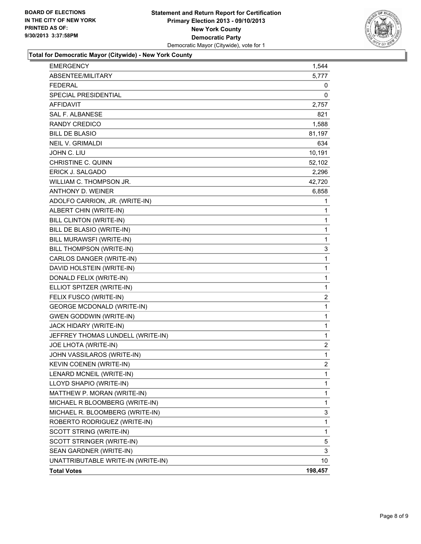

# **Total for Democratic Mayor (Citywide) - New York County**

| <b>EMERGENCY</b>                   | 1,544          |
|------------------------------------|----------------|
| ABSENTEE/MILITARY                  | 5,777          |
| <b>FEDERAL</b>                     | 0              |
| <b>SPECIAL PRESIDENTIAL</b>        | 0              |
| <b>AFFIDAVIT</b>                   | 2,757          |
| <b>SAL F. ALBANESE</b>             | 821            |
| <b>RANDY CREDICO</b>               | 1,588          |
| <b>BILL DE BLASIO</b>              | 81,197         |
| <b>NEIL V. GRIMALDI</b>            | 634            |
| JOHN C. LIU                        | 10,191         |
| <b>CHRISTINE C. QUINN</b>          | 52,102         |
| ERICK J. SALGADO                   | 2,296          |
| WILLIAM C. THOMPSON JR.            | 42,720         |
| <b>ANTHONY D. WEINER</b>           | 6,858          |
| ADOLFO CARRION, JR. (WRITE-IN)     | 1              |
| ALBERT CHIN (WRITE-IN)             | $\mathbf{1}$   |
| BILL CLINTON (WRITE-IN)            | 1              |
| BILL DE BLASIO (WRITE-IN)          | 1              |
| BILL MURAWSFI (WRITE-IN)           | 1              |
| BILL THOMPSON (WRITE-IN)           | 3              |
| CARLOS DANGER (WRITE-IN)           | 1              |
| DAVID HOLSTEIN (WRITE-IN)          | $\mathbf{1}$   |
| DONALD FELIX (WRITE-IN)            | 1              |
| ELLIOT SPITZER (WRITE-IN)          | 1              |
| FELIX FUSCO (WRITE-IN)             | 2              |
| <b>GEORGE MCDONALD (WRITE-IN)</b>  | 1              |
| <b>GWEN GODDWIN (WRITE-IN)</b>     | 1              |
| JACK HIDARY (WRITE-IN)             | $\mathbf{1}$   |
| JEFFREY THOMAS LUNDELL (WRITE-IN)  | 1              |
| JOE LHOTA (WRITE-IN)               | $\overline{2}$ |
| JOHN VASSILAROS (WRITE-IN)         | 1              |
| <b>KEVIN COENEN (WRITE-IN)</b>     | $\overline{2}$ |
| LENARD MCNEIL (WRITE-IN)           | $\mathbf 1$    |
| LLOYD SHAPIO (WRITE-IN)            | 1              |
| MATTHEW P. MORAN (WRITE-IN)        | 1              |
| MICHAEL R BLOOMBERG (WRITE-IN)     | 1              |
| MICHAEL R. BLOOMBERG (WRITE-IN)    | 3              |
| ROBERTO RODRIGUEZ (WRITE-IN)       | 1              |
| SCOTT STRING (WRITE-IN)            | 1              |
| SCOTT STRINGER (WRITE-IN)          | 5              |
| SEAN GARDNER (WRITE-IN)            | 3              |
| UNATTRIBUTABLE WRITE-IN (WRITE-IN) | 10             |
| <b>Total Votes</b>                 | 198,457        |